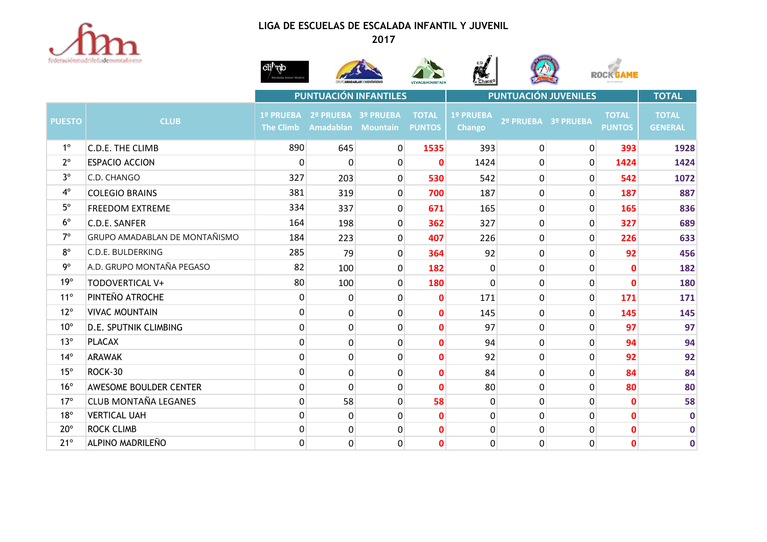

## **LIGA DE ESCUELAS DE ESCALADA INFANTIL Y JUVENIL**











|               |                               | PUNTUACIÓN INFANTILES |                                                     |                | PUNTUACIÓN JUVENILES          |                     |                     |                | <b>TOTAL</b>                  |                                |
|---------------|-------------------------------|-----------------------|-----------------------------------------------------|----------------|-------------------------------|---------------------|---------------------|----------------|-------------------------------|--------------------------------|
| <b>PUESTO</b> | <b>CLUB</b>                   | <b>1º PRUEBA</b>      | 2º PRUEBA 3º PRUEBA<br>The Climb Amadablan Mountain |                | <b>TOTAL</b><br><b>PUNTOS</b> | 1º PRUEBA<br>Chango | 2º PRUEBA 3º PRUEBA |                | <b>TOTAL</b><br><b>PUNTOS</b> | <b>TOTAL</b><br><b>GENERAL</b> |
| $1^{\circ}$   | C.D.E. THE CLIMB              | 890                   | 645                                                 | $\overline{0}$ | 1535                          | 393                 | 0                   | $\overline{0}$ | 393                           | 1928                           |
| $2^{\circ}$   | <b>ESPACIO ACCION</b>         | 0                     | $\Omega$                                            | $\overline{0}$ | 0                             | 1424                | $\Omega$            | $\overline{0}$ | 1424                          | 1424                           |
| $3^{\circ}$   | C.D. CHANGO                   | 327                   | 203                                                 | 0              | 530                           | 542                 | 0                   | 0              | 542                           | 1072                           |
| $4^{\circ}$   | <b>COLEGIO BRAINS</b>         | 381                   | 319                                                 | 0              | 700                           | 187                 | 0                   | 0              | 187                           | 887                            |
| $5^{\circ}$   | <b>FREEDOM EXTREME</b>        | 334                   | 337                                                 | 0              | 671                           | 165                 | 0                   | $\mathbf 0$    | 165                           | 836                            |
| $6^{\circ}$   | C.D.E. SANFER                 | 164                   | 198                                                 | 0              | 362                           | 327                 | $\Omega$            | $\mathbf 0$    | 327                           | 689                            |
| $7^\circ$     | GRUPO AMADABLAN DE MONTAÑISMO | 184                   | 223                                                 | 0              | 407                           | 226                 | $\mathbf{0}$        | 0              | 226                           | 633                            |
| $8^{\circ}$   | C.D.E. BULDERKING             | 285                   | 79                                                  | 0              | 364                           | 92                  | 0                   | 0              | 92                            | 456                            |
| $9^{\circ}$   | A.D. GRUPO MONTAÑA PEGASO     | 82                    | 100                                                 | 0              | 182                           | 0                   | 0                   | 0              | $\mathbf 0$                   | 182                            |
| 19°           | <b>TODOVERTICAL V+</b>        | 80                    | 100                                                 | 0              | 180                           | 0                   | 0                   | $\mathbf 0$    | $\mathbf 0$                   | 180                            |
| $11^{\circ}$  | PINTEÑO ATROCHE               | 0                     | 0                                                   | 0              | 0                             | 171                 | 0                   | $\mathbf 0$    | 171                           | 171                            |
| $12^{\circ}$  | <b>VIVAC MOUNTAIN</b>         | 0                     | $\Omega$                                            | 0              | 0                             | 145                 | 0                   | $\mathbf 0$    | 145                           | 145                            |
| $10^{\circ}$  | D.E. SPUTNIK CLIMBING         | 0                     | $\Omega$                                            | 0              | 0                             | 97                  | $\Omega$            | $\mathbf{0}$   | 97                            | 97                             |
| $13^\circ$    | <b>PLACAX</b>                 | $\Omega$              | $\Omega$                                            | 0              | 0                             | 94                  | $\mathbf{0}$        | $\mathbf 0$    | 94                            | 94                             |
| $14^{\circ}$  | <b>ARAWAK</b>                 | 0                     | $\Omega$                                            | 0              | O                             | 92                  | $\mathbf{0}$        | $\mathbf{0}$   | 92                            | 92                             |
| 15°           | ROCK-30                       | 0                     | 0                                                   | 0              | 0                             | 84                  | 0                   | 0              | 84                            | 84                             |
| $16^{\circ}$  | AWESOME BOULDER CENTER        | 0                     | $\Omega$                                            | 0              | $\mathbf{0}$                  | 80                  | 0                   | $\mathbf 0$    | 80                            | 80                             |
| $17^{\circ}$  | <b>CLUB MONTAÑA LEGANES</b>   | 0                     | 58                                                  | 0              | 58                            | 0                   | 0                   | $\mathbf 0$    | $\mathbf{0}$                  | 58                             |
| $18^{\circ}$  | <b>VERTICAL UAH</b>           | 0                     | 0                                                   | 0              | $\mathbf{0}$                  | 0                   | 0                   | $\mathbf 0$    | $\mathbf 0$                   | $\mathbf 0$                    |
| $20^{\circ}$  | <b>ROCK CLIMB</b>             | 0                     | $\Omega$                                            | 0              | $\mathbf{0}$                  | 0                   | $\Omega$            | $\mathbf 0$    | $\mathbf{0}$                  | $\mathbf 0$                    |
| 21°           | ALPINO MADRILEÑO              | $\overline{0}$        | 0                                                   | 0              | $\mathbf{O}$                  | 0                   | $\overline{0}$      | $\mathbf 0$    | $\mathbf{0}$                  | $\mathbf 0$                    |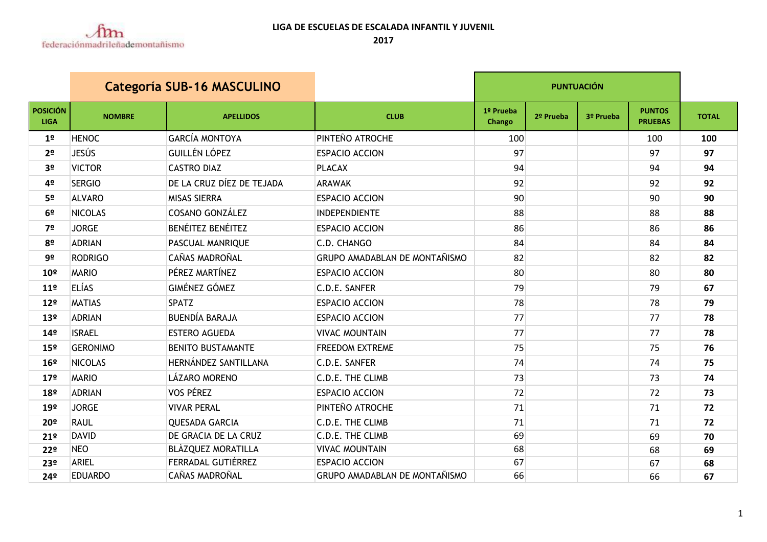

| <b>Categoría SUB-16 MASCULINO</b> |                 |                           |                                      | <b>PUNTUACIÓN</b>   |           |           |                                 |              |
|-----------------------------------|-----------------|---------------------------|--------------------------------------|---------------------|-----------|-----------|---------------------------------|--------------|
| <b>POSICIÓN</b><br><b>LIGA</b>    | <b>NOMBRE</b>   | <b>APELLIDOS</b>          | <b>CLUB</b>                          | 1º Prueba<br>Chango | 2º Prueba | 3º Prueba | <b>PUNTOS</b><br><b>PRUEBAS</b> | <b>TOTAL</b> |
| 1 <sup>o</sup>                    | <b>HENOC</b>    | <b>GARCÍA MONTOYA</b>     | PINTEÑO ATROCHE                      | 100                 |           |           | 100                             | 100          |
| 2 <sup>o</sup>                    | JESÚS           | <b>GUILLÉN LÓPEZ</b>      | <b>ESPACIO ACCION</b>                | 97                  |           |           | 97                              | 97           |
| 3 <sup>o</sup>                    | <b>VICTOR</b>   | <b>CASTRO DIAZ</b>        | <b>PLACAX</b>                        | 94                  |           |           | 94                              | 94           |
| 4º                                | <b>SERGIO</b>   | DE LA CRUZ DÍEZ DE TEJADA | <b>ARAWAK</b>                        | 92                  |           |           | 92                              | 92           |
| 5º                                | <b>ALVARO</b>   | <b>MISAS SIERRA</b>       | <b>ESPACIO ACCION</b>                | 90                  |           |           | 90                              | 90           |
| 6 <sup>o</sup>                    | <b>NICOLAS</b>  | <b>COSANO GONZÁLEZ</b>    | <b>INDEPENDIENTE</b>                 | 88                  |           |           | 88                              | 88           |
| 7º                                | <b>JORGE</b>    | <b>BENÉITEZ BENÉITEZ</b>  | <b>ESPACIO ACCION</b>                | 86                  |           |           | 86                              | 86           |
| 8º                                | <b>ADRIAN</b>   | PASCUAL MANRIQUE          | C.D. CHANGO                          | 84                  |           |           | 84                              | 84           |
| 9º                                | <b>RODRIGO</b>  | <b>CAÑAS MADROÑAL</b>     | <b>GRUPO AMADABLAN DE MONTAÑISMO</b> | 82                  |           |           | 82                              | 82           |
| 10 <sup>°</sup>                   | <b>MARIO</b>    | PÉREZ MARTÍNEZ            | <b>ESPACIO ACCION</b>                | 80                  |           |           | 80                              | 80           |
| 11 <sup>°</sup>                   | <b>ELÍAS</b>    | <b>GIMÉNEZ GÓMEZ</b>      | C.D.E. SANFER                        | 79                  |           |           | 79                              | 67           |
| 12°                               | <b>MATIAS</b>   | <b>SPATZ</b>              | <b>ESPACIO ACCION</b>                | 78                  |           |           | 78                              | 79           |
| 13 <sup>°</sup>                   | <b>ADRIAN</b>   | <b>BUENDÍA BARAJA</b>     | <b>ESPACIO ACCION</b>                | 77                  |           |           | 77                              | 78           |
| 14 <sup>°</sup>                   | <b>ISRAEL</b>   | <b>ESTERO AGUEDA</b>      | <b>VIVAC MOUNTAIN</b>                | 77                  |           |           | 77                              | 78           |
| 15º                               | <b>GERONIMO</b> | <b>BENITO BUSTAMANTE</b>  | <b>FREEDOM EXTREME</b>               | 75                  |           |           | 75                              | 76           |
| 16 <sup>°</sup>                   | <b>NICOLAS</b>  | HERNÁNDEZ SANTILLANA      | C.D.E. SANFER                        | 74                  |           |           | 74                              | 75           |
| 17 <sup>°</sup>                   | <b>MARIO</b>    | <b>LÁZARO MORENO</b>      | C.D.E. THE CLIMB                     | 73                  |           |           | 73                              | 74           |
| 18º                               | <b>ADRIAN</b>   | <b>VOS PÉREZ</b>          | <b>ESPACIO ACCION</b>                | 72                  |           |           | 72                              | 73           |
| 19 <sup>°</sup>                   | <b>JORGE</b>    | <b>VIVAR PERAL</b>        | PINTEÑO ATROCHE                      | 71                  |           |           | 71                              | 72           |
| 20º                               | <b>RAUL</b>     | <b>QUESADA GARCIA</b>     | C.D.E. THE CLIMB                     | 71                  |           |           | 71                              | 72           |
| 21°                               | <b>DAVID</b>    | DE GRACIA DE LA CRUZ      | C.D.E. THE CLIMB                     | 69                  |           |           | 69                              | 70           |
| 22º                               | <b>NEO</b>      | <b>BLÀZQUEZ MORATILLA</b> | <b>VIVAC MOUNTAIN</b>                | 68                  |           |           | 68                              | 69           |
| 23º                               | ARIEL           | <b>FERRADAL GUTIÉRREZ</b> | <b>ESPACIO ACCION</b>                | 67                  |           |           | 67                              | 68           |
| 24º                               | <b>EDUARDO</b>  | CAÑAS MADROÑAL            | <b>GRUPO AMADABLAN DE MONTAÑISMO</b> | 66                  |           |           | 66                              | 67           |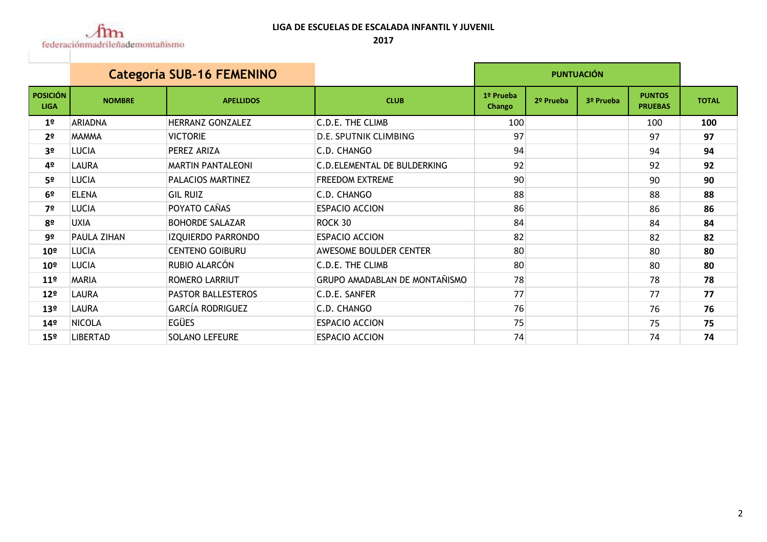

## **LIGA DE ESCUELAS DE ESCALADA INFANTIL Y JUVENIL**

|                                | <b>Categoría SUB-16 FEMENINO</b> |                          |                                      | <b>PUNTUACIÓN</b>   |           |           |                                 |              |
|--------------------------------|----------------------------------|--------------------------|--------------------------------------|---------------------|-----------|-----------|---------------------------------|--------------|
| <b>POSICIÓN</b><br><b>LIGA</b> | <b>NOMBRE</b>                    | <b>APELLIDOS</b>         | <b>CLUB</b>                          | 1º Prueba<br>Chango | 2º Prueba | 3º Prueba | <b>PUNTOS</b><br><b>PRUEBAS</b> | <b>TOTAL</b> |
| 1 <sup>°</sup>                 | <b>ARIADNA</b>                   | HERRANZ GONZALEZ         | C.D.E. THE CLIMB                     | 100                 |           |           | 100                             | 100          |
| 2 <sup>o</sup>                 | <b>MAMMA</b>                     | <b>VICTORIE</b>          | <b>D.E. SPUTNIK CLIMBING</b>         | 97                  |           |           | 97                              | 97           |
| 3 <sup>o</sup>                 | LUCIA                            | PEREZ ARIZA              | C.D. CHANGO                          | 94                  |           |           | 94                              | 94           |
| 4º                             | LAURA                            | <b>MARTIN PANTALEONI</b> | C.D. ELEMENTAL DE BULDERKING         | 92                  |           |           | 92                              | 92           |
| 5 <sup>o</sup>                 | LUCIA                            | PALACIOS MARTINEZ        | <b>FREEDOM EXTREME</b>               | 90                  |           |           | 90                              | 90           |
| 6 <sup>o</sup>                 | <b>ELENA</b>                     | <b>GIL RUIZ</b>          | C.D. CHANGO                          | 88                  |           |           | 88                              | 88           |
| 7º                             | LUCIA                            | POYATO CAÑAS             | <b>ESPACIO ACCION</b>                | 86                  |           |           | 86                              | 86           |
| 8º                             | <b>UXIA</b>                      | <b>BOHORDE SALAZAR</b>   | ROCK 30                              | 84                  |           |           | 84                              | 84           |
| 9º                             | PAULA ZIHAN                      | IZQUIERDO PARRONDO       | <b>ESPACIO ACCION</b>                | 82                  |           |           | 82                              | 82           |
| 10 <sup>°</sup>                | LUCIA                            | <b>CENTENO GOIBURU</b>   | <b>AWESOME BOULDER CENTER</b>        | 80                  |           |           | 80                              | 80           |
| 10 <sup>°</sup>                | <b>LUCIA</b>                     | RUBIO ALARCÓN            | C.D.E. THE CLIMB                     | 80                  |           |           | 80                              | 80           |
| 11 <sup>°</sup>                | MARIA                            | ROMERO LARRIUT           | <b>GRUPO AMADABLAN DE MONTAÑISMO</b> | 78                  |           |           | 78                              | 78           |
| 12 <sup>°</sup>                | LAURA                            | PASTOR BALLESTEROS       | C.D.E. SANFER                        | 77                  |           |           | 77                              | 77           |
| 13 <sup>°</sup>                | LAURA                            | <b>GARCÍA RODRIGUEZ</b>  | C.D. CHANGO                          | 76                  |           |           | 76                              | 76           |
| 14 <sup>°</sup>                | NICOLA                           | EGÜES                    | <b>ESPACIO ACCION</b>                | 75                  |           |           | 75                              | 75           |
| 15º                            | LIBERTAD                         | <b>SOLANO LEFEURE</b>    | <b>ESPACIO ACCION</b>                | 74                  |           |           | 74                              | 74           |